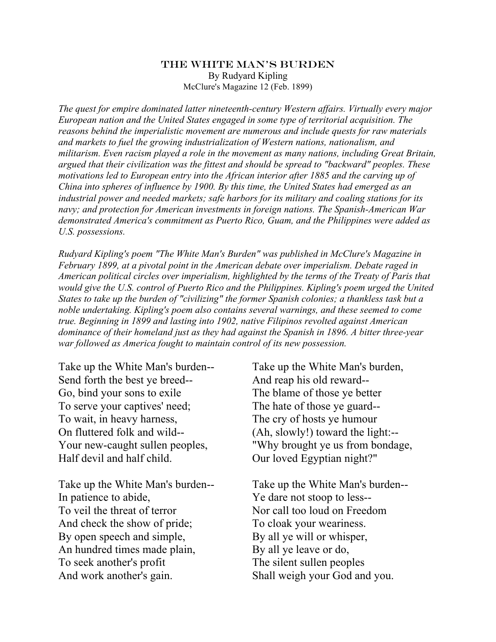## The White Man's Burden By Rudyard Kipling McClure's Magazine 12 (Feb. 1899)

*The quest for empire dominated latter nineteenth-century Western affairs. Virtually every major European nation and the United States engaged in some type of territorial acquisition. The reasons behind the imperialistic movement are numerous and include quests for raw materials and markets to fuel the growing industrialization of Western nations, nationalism, and militarism. Even racism played a role in the movement as many nations, including Great Britain, argued that their civilization was the fittest and should be spread to "backward" peoples. These motivations led to European entry into the African interior after 1885 and the carving up of China into spheres of influence by 1900. By this time, the United States had emerged as an industrial power and needed markets; safe harbors for its military and coaling stations for its navy; and protection for American investments in foreign nations. The Spanish-American War demonstrated America's commitment as Puerto Rico, Guam, and the Philippines were added as U.S. possessions.* 

*Rudyard Kipling's poem "The White Man's Burden" was published in McClure's Magazine in February 1899, at a pivotal point in the American debate over imperialism. Debate raged in American political circles over imperialism, highlighted by the terms of the Treaty of Paris that would give the U.S. control of Puerto Rico and the Philippines. Kipling's poem urged the United States to take up the burden of "civilizing" the former Spanish colonies; a thankless task but a noble undertaking. Kipling's poem also contains several warnings, and these seemed to come true. Beginning in 1899 and lasting into 1902, native Filipinos revolted against American dominance of their homeland just as they had against the Spanish in 1896. A bitter three-year war followed as America fought to maintain control of its new possession.*

Take up the White Man's burden-- Send forth the best ye breed-- Go, bind your sons to exile To serve your captives' need; To wait, in heavy harness, On fluttered folk and wild-- Your new-caught sullen peoples, Half devil and half child.

Take up the White Man's burden-- In patience to abide, To veil the threat of terror And check the show of pride; By open speech and simple, An hundred times made plain, To seek another's profit And work another's gain.

Take up the White Man's burden, And reap his old reward-- The blame of those ye better The hate of those ye guard-- The cry of hosts ye humour (Ah, slowly!) toward the light:-- "Why brought ye us from bondage, Our loved Egyptian night?"

Take up the White Man's burden-- Ye dare not stoop to less-- Nor call too loud on Freedom To cloak your weariness. By all ye will or whisper, By all ye leave or do, The silent sullen peoples Shall weigh your God and you.